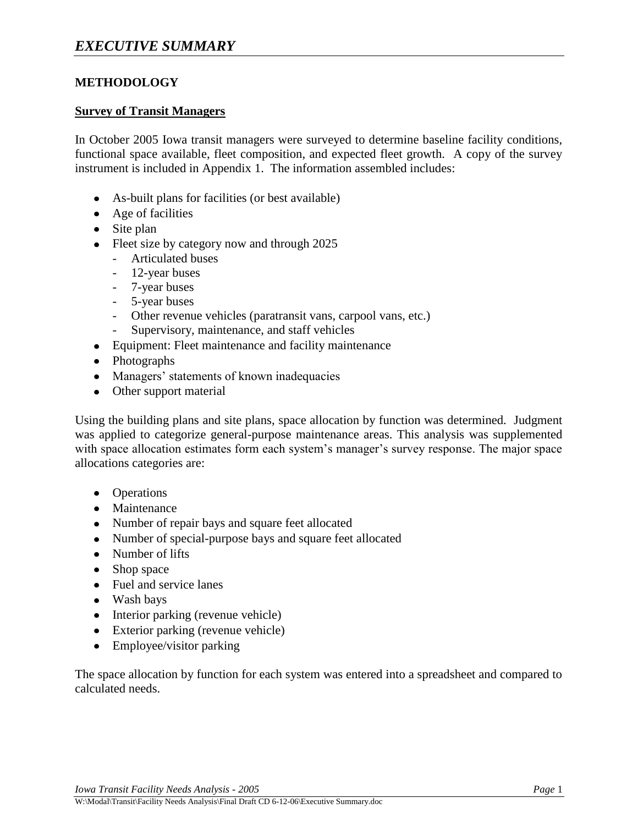## **METHODOLOGY**

#### **Survey of Transit Managers**

In October 2005 Iowa transit managers were surveyed to determine baseline facility conditions, functional space available, fleet composition, and expected fleet growth. A copy of the survey instrument is included in Appendix 1. The information assembled includes:

- As-built plans for facilities (or best available)
- Age of facilities
- Site plan
- Fleet size by category now and through 2025
	- Articulated buses
	- 12-year buses
	- 7-year buses
	- 5-year buses
	- Other revenue vehicles (paratransit vans, carpool vans, etc.)
	- Supervisory, maintenance, and staff vehicles
- Equipment: Fleet maintenance and facility maintenance
- Photographs
- Managers' statements of known inadequacies
- Other support material

Using the building plans and site plans, space allocation by function was determined. Judgment was applied to categorize general-purpose maintenance areas. This analysis was supplemented with space allocation estimates form each system's manager's survey response. The major space allocations categories are:

- Operations
- Maintenance
- Number of repair bays and square feet allocated
- Number of special-purpose bays and square feet allocated
- Number of lifts
- Shop space
- Fuel and service lanes
- Wash bays
- Interior parking (revenue vehicle)
- Exterior parking (revenue vehicle)
- Employee/visitor parking

The space allocation by function for each system was entered into a spreadsheet and compared to calculated needs.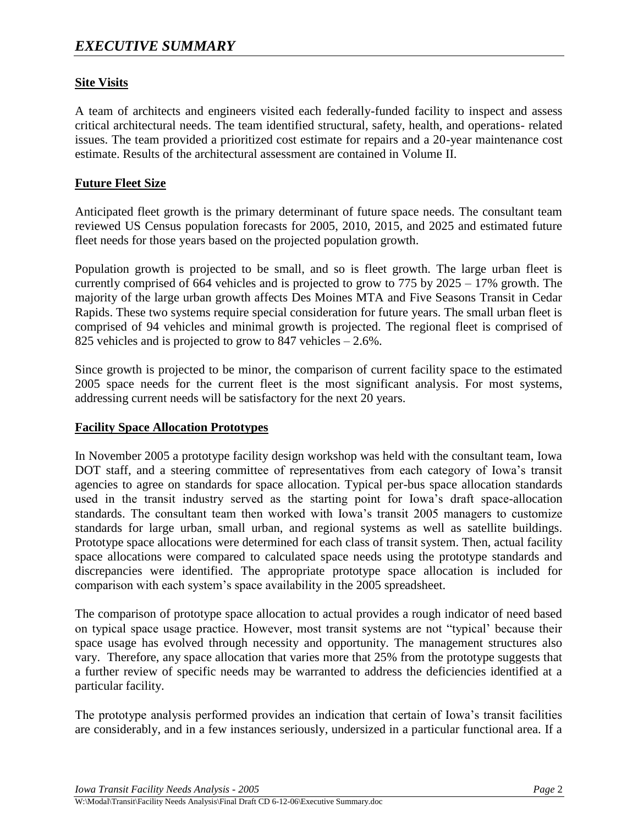# **Site Visits**

A team of architects and engineers visited each federally-funded facility to inspect and assess critical architectural needs. The team identified structural, safety, health, and operations- related issues. The team provided a prioritized cost estimate for repairs and a 20-year maintenance cost estimate. Results of the architectural assessment are contained in Volume II.

### **Future Fleet Size**

Anticipated fleet growth is the primary determinant of future space needs. The consultant team reviewed US Census population forecasts for 2005, 2010, 2015, and 2025 and estimated future fleet needs for those years based on the projected population growth.

Population growth is projected to be small, and so is fleet growth. The large urban fleet is currently comprised of 664 vehicles and is projected to grow to 775 by 2025 – 17% growth. The majority of the large urban growth affects Des Moines MTA and Five Seasons Transit in Cedar Rapids. These two systems require special consideration for future years. The small urban fleet is comprised of 94 vehicles and minimal growth is projected. The regional fleet is comprised of 825 vehicles and is projected to grow to 847 vehicles – 2.6%.

Since growth is projected to be minor, the comparison of current facility space to the estimated 2005 space needs for the current fleet is the most significant analysis. For most systems, addressing current needs will be satisfactory for the next 20 years.

### **Facility Space Allocation Prototypes**

In November 2005 a prototype facility design workshop was held with the consultant team, Iowa DOT staff, and a steering committee of representatives from each category of Iowa's transit agencies to agree on standards for space allocation. Typical per-bus space allocation standards used in the transit industry served as the starting point for Iowa's draft space-allocation standards. The consultant team then worked with Iowa's transit 2005 managers to customize standards for large urban, small urban, and regional systems as well as satellite buildings. Prototype space allocations were determined for each class of transit system. Then, actual facility space allocations were compared to calculated space needs using the prototype standards and discrepancies were identified. The appropriate prototype space allocation is included for comparison with each system's space availability in the 2005 spreadsheet.

The comparison of prototype space allocation to actual provides a rough indicator of need based on typical space usage practice. However, most transit systems are not "typical' because their space usage has evolved through necessity and opportunity. The management structures also vary. Therefore, any space allocation that varies more that 25% from the prototype suggests that a further review of specific needs may be warranted to address the deficiencies identified at a particular facility.

The prototype analysis performed provides an indication that certain of Iowa's transit facilities are considerably, and in a few instances seriously, undersized in a particular functional area. If a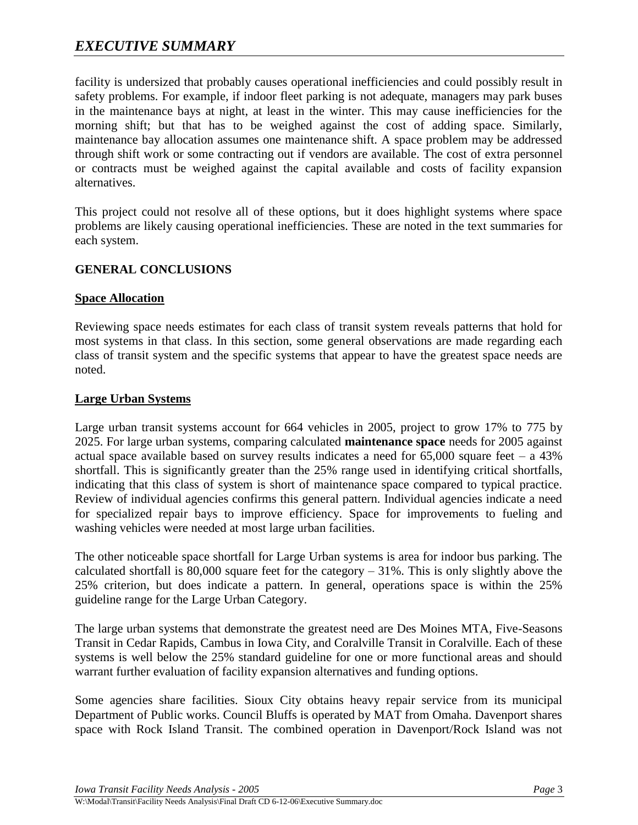# *EXECUTIVE SUMMARY*

facility is undersized that probably causes operational inefficiencies and could possibly result in safety problems. For example, if indoor fleet parking is not adequate, managers may park buses in the maintenance bays at night, at least in the winter. This may cause inefficiencies for the morning shift; but that has to be weighed against the cost of adding space. Similarly, maintenance bay allocation assumes one maintenance shift. A space problem may be addressed through shift work or some contracting out if vendors are available. The cost of extra personnel or contracts must be weighed against the capital available and costs of facility expansion alternatives.

This project could not resolve all of these options, but it does highlight systems where space problems are likely causing operational inefficiencies. These are noted in the text summaries for each system.

# **GENERAL CONCLUSIONS**

#### **Space Allocation**

Reviewing space needs estimates for each class of transit system reveals patterns that hold for most systems in that class. In this section, some general observations are made regarding each class of transit system and the specific systems that appear to have the greatest space needs are noted.

#### **Large Urban Systems**

Large urban transit systems account for 664 vehicles in 2005, project to grow 17% to 775 by 2025. For large urban systems, comparing calculated **maintenance space** needs for 2005 against actual space available based on survey results indicates a need for  $65,000$  square feet – a 43% shortfall. This is significantly greater than the 25% range used in identifying critical shortfalls, indicating that this class of system is short of maintenance space compared to typical practice. Review of individual agencies confirms this general pattern. Individual agencies indicate a need for specialized repair bays to improve efficiency. Space for improvements to fueling and washing vehicles were needed at most large urban facilities.

The other noticeable space shortfall for Large Urban systems is area for indoor bus parking. The calculated shortfall is  $80,000$  square feet for the category  $-31\%$ . This is only slightly above the 25% criterion, but does indicate a pattern. In general, operations space is within the 25% guideline range for the Large Urban Category.

The large urban systems that demonstrate the greatest need are Des Moines MTA, Five-Seasons Transit in Cedar Rapids, Cambus in Iowa City, and Coralville Transit in Coralville. Each of these systems is well below the 25% standard guideline for one or more functional areas and should warrant further evaluation of facility expansion alternatives and funding options.

Some agencies share facilities. Sioux City obtains heavy repair service from its municipal Department of Public works. Council Bluffs is operated by MAT from Omaha. Davenport shares space with Rock Island Transit. The combined operation in Davenport/Rock Island was not

*Iowa Transit Facility Needs Analysis - 2005 Page* 3

W:\Modal\Transit\Facility Needs Analysis\Final Draft CD 6-12-06\Executive Summary.doc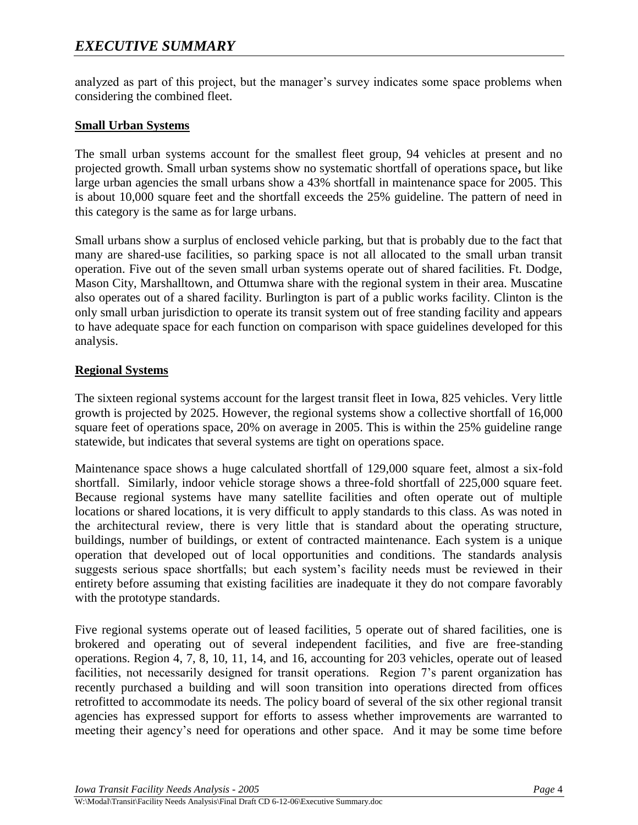analyzed as part of this project, but the manager's survey indicates some space problems when considering the combined fleet.

# **Small Urban Systems**

The small urban systems account for the smallest fleet group, 94 vehicles at present and no projected growth. Small urban systems show no systematic shortfall of operations space**,** but like large urban agencies the small urbans show a 43% shortfall in maintenance space for 2005. This is about 10,000 square feet and the shortfall exceeds the 25% guideline. The pattern of need in this category is the same as for large urbans.

Small urbans show a surplus of enclosed vehicle parking, but that is probably due to the fact that many are shared-use facilities, so parking space is not all allocated to the small urban transit operation. Five out of the seven small urban systems operate out of shared facilities. Ft. Dodge, Mason City, Marshalltown, and Ottumwa share with the regional system in their area. Muscatine also operates out of a shared facility. Burlington is part of a public works facility. Clinton is the only small urban jurisdiction to operate its transit system out of free standing facility and appears to have adequate space for each function on comparison with space guidelines developed for this analysis.

### **Regional Systems**

The sixteen regional systems account for the largest transit fleet in Iowa, 825 vehicles. Very little growth is projected by 2025. However, the regional systems show a collective shortfall of 16,000 square feet of operations space, 20% on average in 2005. This is within the 25% guideline range statewide, but indicates that several systems are tight on operations space.

Maintenance space shows a huge calculated shortfall of 129,000 square feet, almost a six-fold shortfall. Similarly, indoor vehicle storage shows a three-fold shortfall of 225,000 square feet. Because regional systems have many satellite facilities and often operate out of multiple locations or shared locations, it is very difficult to apply standards to this class. As was noted in the architectural review, there is very little that is standard about the operating structure, buildings, number of buildings, or extent of contracted maintenance. Each system is a unique operation that developed out of local opportunities and conditions. The standards analysis suggests serious space shortfalls; but each system's facility needs must be reviewed in their entirety before assuming that existing facilities are inadequate it they do not compare favorably with the prototype standards.

Five regional systems operate out of leased facilities, 5 operate out of shared facilities, one is brokered and operating out of several independent facilities, and five are free-standing operations. Region 4, 7, 8, 10, 11, 14, and 16, accounting for 203 vehicles, operate out of leased facilities, not necessarily designed for transit operations. Region 7's parent organization has recently purchased a building and will soon transition into operations directed from offices retrofitted to accommodate its needs. The policy board of several of the six other regional transit agencies has expressed support for efforts to assess whether improvements are warranted to meeting their agency's need for operations and other space. And it may be some time before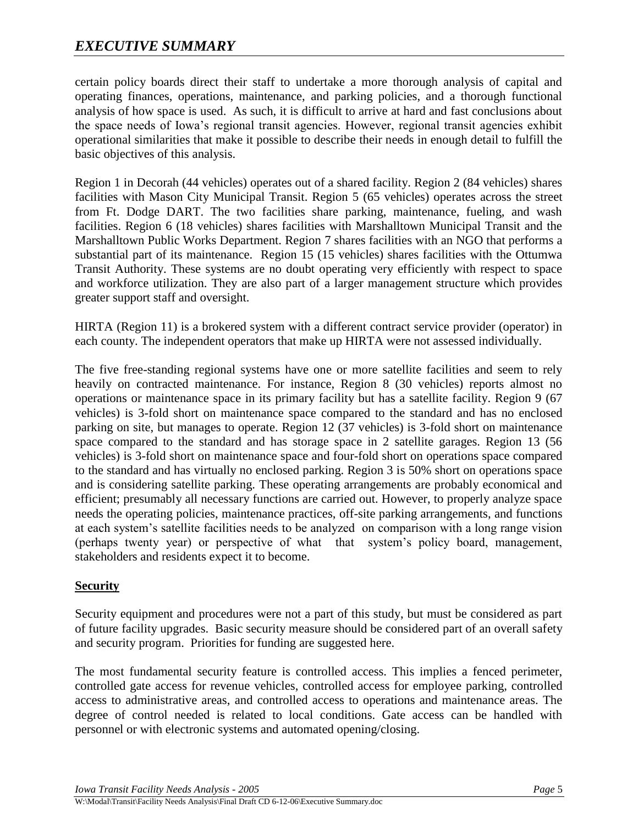# *EXECUTIVE SUMMARY*

certain policy boards direct their staff to undertake a more thorough analysis of capital and operating finances, operations, maintenance, and parking policies, and a thorough functional analysis of how space is used. As such, it is difficult to arrive at hard and fast conclusions about the space needs of Iowa's regional transit agencies. However, regional transit agencies exhibit operational similarities that make it possible to describe their needs in enough detail to fulfill the basic objectives of this analysis.

Region 1 in Decorah (44 vehicles) operates out of a shared facility. Region 2 (84 vehicles) shares facilities with Mason City Municipal Transit. Region 5 (65 vehicles) operates across the street from Ft. Dodge DART. The two facilities share parking, maintenance, fueling, and wash facilities. Region 6 (18 vehicles) shares facilities with Marshalltown Municipal Transit and the Marshalltown Public Works Department. Region 7 shares facilities with an NGO that performs a substantial part of its maintenance. Region 15 (15 vehicles) shares facilities with the Ottumwa Transit Authority. These systems are no doubt operating very efficiently with respect to space and workforce utilization. They are also part of a larger management structure which provides greater support staff and oversight.

HIRTA (Region 11) is a brokered system with a different contract service provider (operator) in each county. The independent operators that make up HIRTA were not assessed individually.

The five free-standing regional systems have one or more satellite facilities and seem to rely heavily on contracted maintenance. For instance, Region 8 (30 vehicles) reports almost no operations or maintenance space in its primary facility but has a satellite facility. Region 9 (67 vehicles) is 3-fold short on maintenance space compared to the standard and has no enclosed parking on site, but manages to operate. Region 12 (37 vehicles) is 3-fold short on maintenance space compared to the standard and has storage space in 2 satellite garages. Region 13 (56 vehicles) is 3-fold short on maintenance space and four-fold short on operations space compared to the standard and has virtually no enclosed parking. Region 3 is 50% short on operations space and is considering satellite parking. These operating arrangements are probably economical and efficient; presumably all necessary functions are carried out. However, to properly analyze space needs the operating policies, maintenance practices, off-site parking arrangements, and functions at each system's satellite facilities needs to be analyzed on comparison with a long range vision (perhaps twenty year) or perspective of what that system's policy board, management, stakeholders and residents expect it to become.

### **Security**

Security equipment and procedures were not a part of this study, but must be considered as part of future facility upgrades. Basic security measure should be considered part of an overall safety and security program. Priorities for funding are suggested here.

The most fundamental security feature is controlled access. This implies a fenced perimeter, controlled gate access for revenue vehicles, controlled access for employee parking, controlled access to administrative areas, and controlled access to operations and maintenance areas. The degree of control needed is related to local conditions. Gate access can be handled with personnel or with electronic systems and automated opening/closing.

*Iowa Transit Facility Needs Analysis - 2005 Page* 5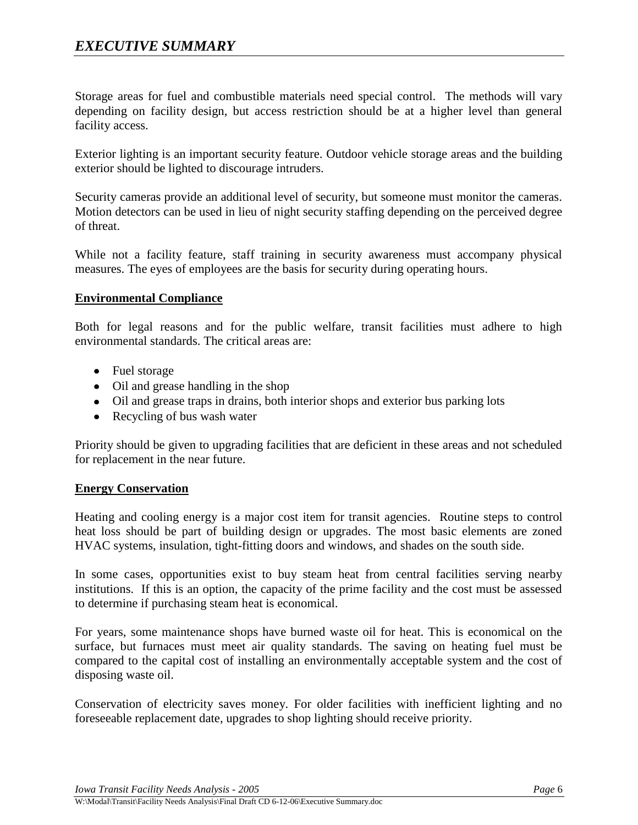Storage areas for fuel and combustible materials need special control. The methods will vary depending on facility design, but access restriction should be at a higher level than general facility access.

Exterior lighting is an important security feature. Outdoor vehicle storage areas and the building exterior should be lighted to discourage intruders.

Security cameras provide an additional level of security, but someone must monitor the cameras. Motion detectors can be used in lieu of night security staffing depending on the perceived degree of threat.

While not a facility feature, staff training in security awareness must accompany physical measures. The eyes of employees are the basis for security during operating hours.

#### **Environmental Compliance**

Both for legal reasons and for the public welfare, transit facilities must adhere to high environmental standards. The critical areas are:

- Fuel storage
- Oil and grease handling in the shop
- Oil and grease traps in drains, both interior shops and exterior bus parking lots
- Recycling of bus wash water

Priority should be given to upgrading facilities that are deficient in these areas and not scheduled for replacement in the near future.

#### **Energy Conservation**

Heating and cooling energy is a major cost item for transit agencies. Routine steps to control heat loss should be part of building design or upgrades. The most basic elements are zoned HVAC systems, insulation, tight-fitting doors and windows, and shades on the south side.

In some cases, opportunities exist to buy steam heat from central facilities serving nearby institutions. If this is an option, the capacity of the prime facility and the cost must be assessed to determine if purchasing steam heat is economical.

For years, some maintenance shops have burned waste oil for heat. This is economical on the surface, but furnaces must meet air quality standards. The saving on heating fuel must be compared to the capital cost of installing an environmentally acceptable system and the cost of disposing waste oil.

Conservation of electricity saves money. For older facilities with inefficient lighting and no foreseeable replacement date, upgrades to shop lighting should receive priority.

*Iowa Transit Facility Needs Analysis - 2005 Page* 6

W:\Modal\Transit\Facility Needs Analysis\Final Draft CD 6-12-06\Executive Summary.doc